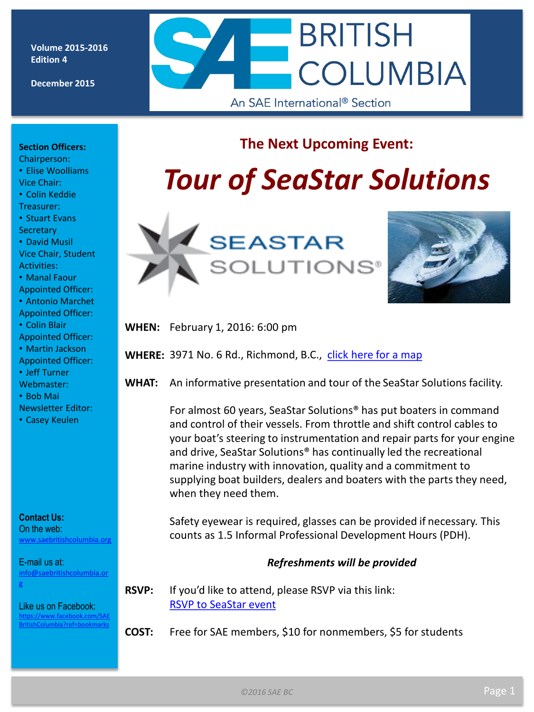**Volume 2015-2016 Edition 4**

**December 2015**



### **The Next Upcoming Event:**

# *Tour of SeaStar Solutions*





**WHEN:** February 1, 2016: 6:00 pm

**WHERE:** 3971 No. 6 Rd., Richmond, B.C., [click here for a map](https://www.google.ca/maps/place/3971+No+6+Rd,+Richmond,+BC+V6V/@49.1854381,-123.0722608,17z/data=!3m1!4b1!4m2!3m1!1s0x5486759f670a2ad1:0x24c245f2ac43c05b?hl=en)

**WHAT:** An informative presentation and tour of the SeaStar Solutions facility.

For almost 60 years, SeaStar Solutions® has put boaters in command and control of their vessels. From throttle and shift control cables to your boat's steering to instrumentation and repair parts for your engine and drive, SeaStar Solutions® has continually led the recreational marine industry with innovation, quality and a commitment to supplying boat builders, dealers and boaters with the parts they need, when they need them.

Safety eyewear is required, glasses can be provided if necessary. This counts as 1.5 Informal Professional Development Hours (PDH).

#### *Refreshments will be provided*

**RSVP:** If you'd like to attend, please RSVP via this link: [RSVP to SeaStar event](http://goo.gl/forms/1iOgH41d8h) 

**COST:** Free for SAE members, \$10 for nonmembers, \$5 for students

**Section Officers:** 

Chairperson: • Elise Woolliams Vice Chair:

• Colin Keddie

Treasurer:

• Stuart Evans **Secretary** 

• David Musil Vice Chair, Student Activities:

• Manal Faour

Appointed Officer:

• Antonio Marchet Appointed Officer:

• Colin Blair

Appointed Officer:

• Martin Jackson Appointed Officer:

• Jeff Turner

Webmaster:

• Bob Mai

Newsletter Editor:

• Casey Keulen

**Contact Us:**

On the web: [www.saebritishcolumbia.org](http://www.saebritishcolumbia.org)

E-mail us at: [info@saebritishcolumbia.or](mailto:info@saebritishcolumbia.org) [g](mailto:info@saebritishcolumbia.org)

Like us on Facebook: [https://www.facebook.com/SAE](https://www.facebook.com/SAEBritishColumbia?ref=bookmarks) [BritishColumbia?ref=bookmarks](https://www.facebook.com/SAEBritishColumbia?ref=bookmarks)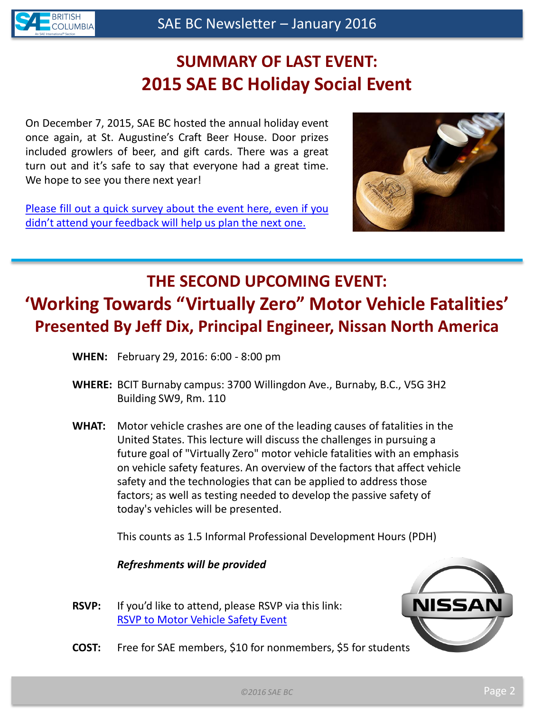

# **SUMMARY OF LAST EVENT: 2015 SAE BC Holiday Social Event**

On December 7, 2015, SAE BC hosted the annual holiday event once again, at St. Augustine's Craft Beer House. Door prizes included growlers of beer, and gift cards. There was a great turn out and it's safe to say that everyone had a great time. We hope to see you there next year!

[Please](http://goo.gl/forms/8wNdvimFD4) [fill](http://goo.gl/forms/8wNdvimFD4) [out](http://goo.gl/forms/8wNdvimFD4) [a](http://goo.gl/forms/8wNdvimFD4) [quick](http://goo.gl/forms/8wNdvimFD4) [survey](http://goo.gl/forms/8wNdvimFD4) [about](http://goo.gl/forms/8wNdvimFD4) [the](http://goo.gl/forms/8wNdvimFD4) [event](http://goo.gl/forms/8wNdvimFD4) [here,](http://goo.gl/forms/8wNdvimFD4) [even](http://goo.gl/forms/8wNdvimFD4) [if](http://goo.gl/forms/8wNdvimFD4) [you](http://goo.gl/forms/8wNdvimFD4) [didn't](http://goo.gl/forms/8wNdvimFD4) [attend](http://goo.gl/forms/8wNdvimFD4) [your](http://goo.gl/forms/8wNdvimFD4) [feedback](http://goo.gl/forms/8wNdvimFD4) [will](http://goo.gl/forms/8wNdvimFD4) [help](http://goo.gl/forms/8wNdvimFD4) [us](http://goo.gl/forms/8wNdvimFD4) [plan](http://goo.gl/forms/8wNdvimFD4) [the](http://goo.gl/forms/8wNdvimFD4) [next](http://goo.gl/forms/8wNdvimFD4) [one.](http://goo.gl/forms/8wNdvimFD4)



# **THE SECOND UPCOMING EVENT: 'Working Towards "Virtually Zero" Motor Vehicle Fatalities' Presented By Jeff Dix, Principal Engineer, Nissan North America**

- **WHEN:** February 29, 2016: 6:00 8:00 pm
- **WHERE:** BCIT Burnaby campus: 3700 Willingdon Ave., Burnaby, B.C., V5G 3H2 Building SW9, Rm. 110
- **WHAT:** Motor vehicle crashes are one of the leading causes of fatalities in the United States. This lecture will discuss the challenges in pursuing a future goal of "Virtually Zero" motor vehicle fatalities with an emphasis on vehicle safety features. An overview of the factors that affect vehicle safety and the technologies that can be applied to address those factors; as well as testing needed to develop the passive safety of today's vehicles will be presented.

This counts as 1.5 Informal Professional Development Hours (PDH)

*Refreshments will be provided*

**RSVP:** If you'd like to attend, please RSVP via this link: [RSVP to Motor Vehicle Safety Event](http://goo.gl/forms/iBStJXAYC3)



**COST:** Free for SAE members, \$10 for nonmembers, \$5 for students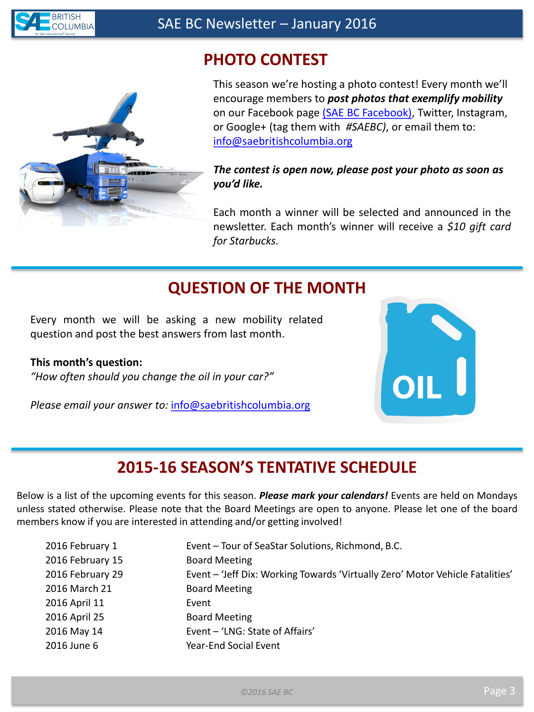

## **PHOTO CONTEST**



This season we're hosting a photo contest! Every month we'll encourage members to *post photos that exemplify mobility* on our Facebook page [\(SAE BC Facebook\)](https://www.facebook.com/SAEBritishColumbia?ref=bookmarks), Twitter, Instagram, or Google+ (tag them with *#SAEBC)*, or email them to: [info@saebritishcolumbia.org](mailto:info@saebritishcolumbia.org)

#### *The contest is open now, please post your photo as soon as you'd like.*

Each month a winner will be selected and announced in the newsletter. Each month's winner will receive a *\$10 gift card for Starbucks.*

### **QUESTION OF THE MONTH**

Every month we will be asking a new mobility related question and post the best answers from last month.

#### **This month's question:**

*"How often should you change the oil in your car?"*

*Please email your answer to:* [info@saebritishcolumbia.org](mailto:info@saebritishcolumbia.org) 



### **2015-16 SEASON'S TENTATIVE SCHEDULE**

Below is a list of the upcoming events for this season. *Please mark your calendars!* Events are held on Mondays unless stated otherwise. Please note that the Board Meetings are open to anyone. Please let one of the board members know if you are interested in attending and/or getting involved!

| Event - Tour of SeaStar Solutions, Richmond, B.C.                             |
|-------------------------------------------------------------------------------|
| <b>Board Meeting</b>                                                          |
| Event - 'Jeff Dix: Working Towards 'Virtually Zero' Motor Vehicle Fatalities' |
| <b>Board Meeting</b>                                                          |
| Event                                                                         |
| <b>Board Meeting</b>                                                          |
| Event - 'LNG: State of Affairs'                                               |
| <b>Year-End Social Event</b>                                                  |
|                                                                               |